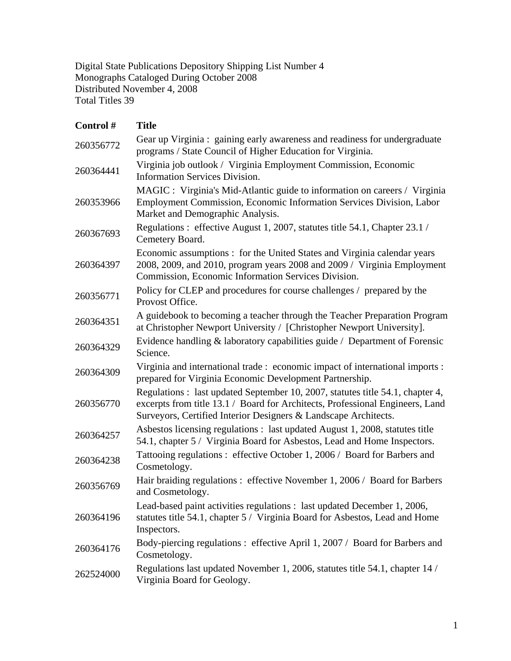Digital State Publications Depository Shipping List Number 4 Monographs Cataloged During October 2008 Distributed November 4, 2008 Total Titles 39

| Control#  | <b>Title</b>                                                                                                                                                                                                                       |
|-----------|------------------------------------------------------------------------------------------------------------------------------------------------------------------------------------------------------------------------------------|
| 260356772 | Gear up Virginia : gaining early awareness and readiness for undergraduate<br>programs / State Council of Higher Education for Virginia.                                                                                           |
| 260364441 | Virginia job outlook / Virginia Employment Commission, Economic<br><b>Information Services Division.</b>                                                                                                                           |
| 260353966 | MAGIC : Virginia's Mid-Atlantic guide to information on careers / Virginia<br>Employment Commission, Economic Information Services Division, Labor<br>Market and Demographic Analysis.                                             |
| 260367693 | Regulations : effective August 1, 2007, statutes title 54.1, Chapter 23.1 /<br>Cemetery Board.                                                                                                                                     |
| 260364397 | Economic assumptions : for the United States and Virginia calendar years<br>2008, 2009, and 2010, program years 2008 and 2009 / Virginia Employment<br>Commission, Economic Information Services Division.                         |
| 260356771 | Policy for CLEP and procedures for course challenges / prepared by the<br>Provost Office.                                                                                                                                          |
| 260364351 | A guidebook to becoming a teacher through the Teacher Preparation Program<br>at Christopher Newport University / [Christopher Newport University].                                                                                 |
| 260364329 | Evidence handling & laboratory capabilities guide / Department of Forensic<br>Science.                                                                                                                                             |
| 260364309 | Virginia and international trade: economic impact of international imports:<br>prepared for Virginia Economic Development Partnership.                                                                                             |
| 260356770 | Regulations : last updated September 10, 2007, statutes title 54.1, chapter 4,<br>excerpts from title 13.1 / Board for Architects, Professional Engineers, Land<br>Surveyors, Certified Interior Designers & Landscape Architects. |
| 260364257 | Asbestos licensing regulations : last updated August 1, 2008, statutes title<br>54.1, chapter 5 / Virginia Board for Asbestos, Lead and Home Inspectors.                                                                           |
| 260364238 | Tattooing regulations : effective October 1, 2006 / Board for Barbers and<br>Cosmetology.                                                                                                                                          |
| 260356769 | Hair braiding regulations : effective November 1, 2006 / Board for Barbers<br>and Cosmetology.                                                                                                                                     |
| 260364196 | Lead-based paint activities regulations : last updated December 1, 2006,<br>statutes title 54.1, chapter 5 / Virginia Board for Asbestos, Lead and Home<br>Inspectors.                                                             |
| 260364176 | Body-piercing regulations : effective April 1, 2007 / Board for Barbers and<br>Cosmetology.                                                                                                                                        |
| 262524000 | Regulations last updated November 1, 2006, statutes title 54.1, chapter 14 /<br>Virginia Board for Geology.                                                                                                                        |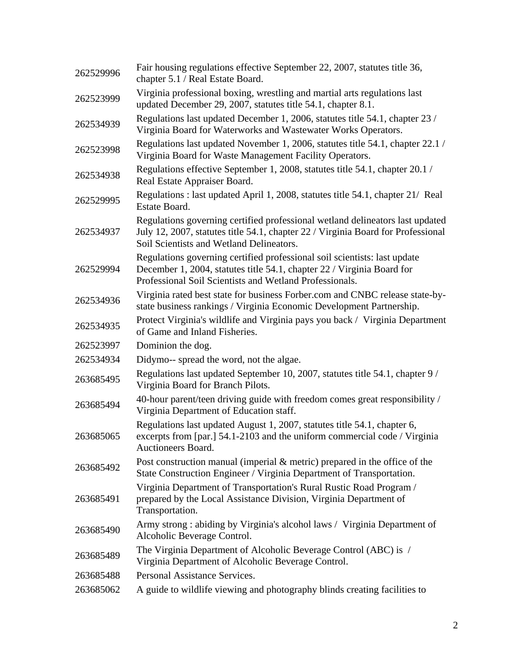| 262529996 | Fair housing regulations effective September 22, 2007, statutes title 36,<br>chapter 5.1 / Real Estate Board.                                                                                                  |
|-----------|----------------------------------------------------------------------------------------------------------------------------------------------------------------------------------------------------------------|
| 262523999 | Virginia professional boxing, wrestling and martial arts regulations last<br>updated December 29, 2007, statutes title 54.1, chapter 8.1.                                                                      |
| 262534939 | Regulations last updated December 1, 2006, statutes title 54.1, chapter 23 /<br>Virginia Board for Waterworks and Wastewater Works Operators.                                                                  |
| 262523998 | Regulations last updated November 1, 2006, statutes title 54.1, chapter 22.1 /<br>Virginia Board for Waste Management Facility Operators.                                                                      |
| 262534938 | Regulations effective September 1, 2008, statutes title 54.1, chapter 20.1 /<br>Real Estate Appraiser Board.                                                                                                   |
| 262529995 | Regulations : last updated April 1, 2008, statutes title 54.1, chapter 21/ Real<br>Estate Board.                                                                                                               |
| 262534937 | Regulations governing certified professional wetland delineators last updated<br>July 12, 2007, statutes title 54.1, chapter 22 / Virginia Board for Professional<br>Soil Scientists and Wetland Delineators.  |
| 262529994 | Regulations governing certified professional soil scientists: last update<br>December 1, 2004, statutes title 54.1, chapter 22 / Virginia Board for<br>Professional Soil Scientists and Wetland Professionals. |
| 262534936 | Virginia rated best state for business Forber.com and CNBC release state-by-<br>state business rankings / Virginia Economic Development Partnership.                                                           |
| 262534935 | Protect Virginia's wildlife and Virginia pays you back / Virginia Department<br>of Game and Inland Fisheries.                                                                                                  |
| 262523997 | Dominion the dog.                                                                                                                                                                                              |
| 262534934 | Didymo-- spread the word, not the algae.                                                                                                                                                                       |
| 263685495 | Regulations last updated September 10, 2007, statutes title 54.1, chapter 9/<br>Virginia Board for Branch Pilots.                                                                                              |
| 263685494 | 40-hour parent/teen driving guide with freedom comes great responsibility /<br>Virginia Department of Education staff.                                                                                         |
| 263685065 | Regulations last updated August 1, 2007, statutes title 54.1, chapter 6,<br>excerpts from [par.] 54.1-2103 and the uniform commercial code / Virginia<br>Auctioneers Board.                                    |
| 263685492 | Post construction manual (imperial $\&$ metric) prepared in the office of the<br>State Construction Engineer / Virginia Department of Transportation.                                                          |
| 263685491 | Virginia Department of Transportation's Rural Rustic Road Program /<br>prepared by the Local Assistance Division, Virginia Department of<br>Transportation.                                                    |
| 263685490 | Army strong: abiding by Virginia's alcohol laws / Virginia Department of<br>Alcoholic Beverage Control.                                                                                                        |
| 263685489 | The Virginia Department of Alcoholic Beverage Control (ABC) is /<br>Virginia Department of Alcoholic Beverage Control.                                                                                         |
| 263685488 | Personal Assistance Services.                                                                                                                                                                                  |
| 263685062 | A guide to wildlife viewing and photography blinds creating facilities to                                                                                                                                      |